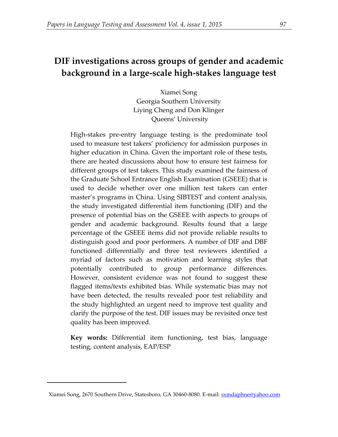# **DIF investigations across groups of gender and academic background in a large-scale high-stakes language test**

Xiamei Song Georgia Southern University Liying Cheng and Don Klinger Queens' University

High-stakes pre-entry language testing is the predominate tool used to measure test takers' proficiency for admission purposes in higher education in China. Given the important role of these tests, there are heated discussions about how to ensure test fairness for different groups of test takers. This study examined the fairness of the Graduate School Entrance English Examination (GSEEE) that is used to decide whether over one million test takers can enter master's programs in China. Using SIBTEST and content analysis, the study investigated differential item functioning (DIF) and the presence of potential bias on the GSEEE with aspects to groups of gender and academic background. Results found that a large percentage of the GSEEE items did not provide reliable results to distinguish good and poor performers. A number of DIF and DBF functioned differentially and three test reviewers identified a myriad of factors such as motivation and learning styles that potentially contributed to group performance differences. However, consistent evidence was not found to suggest these flagged items/texts exhibited bias. While systematic bias may not have been detected, the results revealed poor test reliability and the study highlighted an urgent need to improve test quality and clarify the purpose of the test. DIF issues may be revisited once test quality has been improved.

**Key words:** Differential item functioning, test bias, language testing, content analysis, EAP/ESP

1

<span id="page-0-0"></span>Xiamei Song, 2670 Southern Drive, Statesboro, GA 30460-8080. E-mail[: sxmdaphne@yahoo.com](mailto:sxmdaphne@yahoo.com)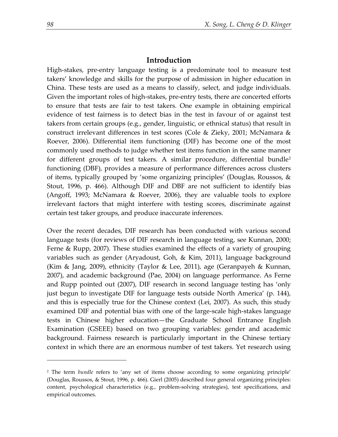## **Introduction**

High-stakes, pre-entry language testing is a predominate tool to measure test takers' knowledge and skills for the purpose of admission in higher education in China. These tests are used as a means to classify, select, and judge individuals. Given the important roles of high-stakes, pre-entry tests, there are concerted efforts to ensure that tests are fair to test takers. One example in obtaining empirical evidence of test fairness is to detect bias in the test in favour of or against test takers from certain groups (e.g., gender, linguistic, or ethnical status) that result in construct irrelevant differences in test scores (Cole & Zieky, 2001; McNamara & Roever, 2006). Differential item functioning (DIF) has become one of the most commonly used methods to judge whether test items function in the same manner for different groups of test takers. A similar procedure, differential bundle<sup>[2](#page-1-0)</sup> functioning (DBF), provides a measure of performance differences across clusters of items, typically grouped by 'some organizing principles' (Douglas, Roussos, & Stout, 1996, p. 466). Although DIF and DBF are not sufficient to identify bias (Angoff, 1993; McNamara & Roever, 2006), they are valuable tools to explore irrelevant factors that might interfere with testing scores, discriminate against certain test taker groups, and produce inaccurate inferences.

Over the recent decades, DIF research has been conducted with various second language tests (for reviews of DIF research in language testing, see Kunnan, 2000; Ferne & Rupp, 2007). These studies examined the effects of a variety of grouping variables such as gender (Aryadoust, Goh, & Kim, 2011), language background (Kim & Jang, 2009), ethnicity (Taylor & Lee, 2011), age (Geranpayeh & Kunnan, 2007), and academic background (Pae, 2004) on language performance. As Ferne and Rupp pointed out (2007), DIF research in second language testing has 'only just begun to investigate DIF for language tests outside North America' (p. 144), and this is especially true for the Chinese context (Lei, 2007). As such, this study examined DIF and potential bias with one of the large-scale high-stakes language tests in Chinese higher education—the Graduate School Entrance English Examination (GSEEE) based on two grouping variables: gender and academic background. Fairness research is particularly important in the Chinese tertiary context in which there are an enormous number of test takers. Yet research using

<u>.</u>

<span id="page-1-0"></span><sup>2</sup> The term *bundle* refers to 'any set of items choose according to some organizing principle' (Douglas, Roussos, & Stout, 1996, p. 466). Gierl (2005) described four general organizing principles: content, psychological characteristics (e.g., problem-solving strategies), test specifications, and empirical outcomes.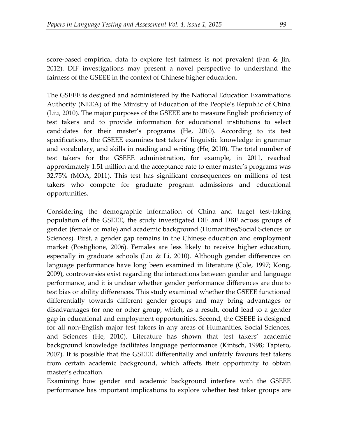score-based empirical data to explore test fairness is not prevalent (Fan & Jin, 2012). DIF investigations may present a novel perspective to understand the fairness of the GSEEE in the context of Chinese higher education.

The GSEEE is designed and administered by the National Education Examinations Authority (NEEA) of the Ministry of Education of the People's Republic of China (Liu, 2010). The major purposes of the GSEEE are to measure English proficiency of test takers and to provide information for educational institutions to select candidates for their master's programs (He, 2010). According to its test specifications, the GSEEE examines test takers' linguistic knowledge in grammar and vocabulary, and skills in reading and writing (He, 2010). The total number of test takers for the GSEEE administration, for example, in 2011, reached approximately 1.51 million and the acceptance rate to enter master's programs was 32.75% (MOA, 2011). This test has significant consequences on millions of test takers who compete for graduate program admissions and educational opportunities.

Considering the demographic information of China and target test-taking population of the GSEEE, the study investigated DIF and DBF across groups of gender (female or male) and academic background (Humanities/Social Sciences or Sciences). First, a gender gap remains in the Chinese education and employment market (Postiglione, 2006). Females are less likely to receive higher education, especially in graduate schools (Liu & Li, 2010). Although gender differences on language performance have long been examined in literature (Cole, 1997; Kong, 2009), controversies exist regarding the interactions between gender and language performance, and it is unclear whether gender performance differences are due to test bias or ability differences. This study examined whether the GSEEE functioned differentially towards different gender groups and may bring advantages or disadvantages for one or other group, which, as a result, could lead to a gender gap in educational and employment opportunities. Second, the GSEEE is designed for all non-English major test takers in any areas of Humanities, Social Sciences, and Sciences (He, 2010). Literature has shown that test takers' academic background knowledge facilitates language performance (Kintsch, 1998; Tapiero, 2007). It is possible that the GSEEE differentially and unfairly favours test takers from certain academic background, which affects their opportunity to obtain master's education.

Examining how gender and academic background interfere with the GSEEE performance has important implications to explore whether test taker groups are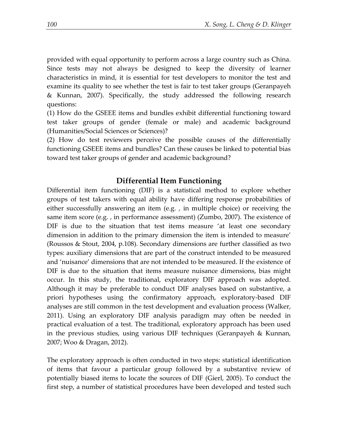provided with equal opportunity to perform across a large country such as China. Since tests may not always be designed to keep the diversity of learner characteristics in mind, it is essential for test developers to monitor the test and examine its quality to see whether the test is fair to test taker groups (Geranpayeh & Kunnan, 2007). Specifically, the study addressed the following research questions:

(1) How do the GSEEE items and bundles exhibit differential functioning toward test taker groups of gender (female or male) and academic background (Humanities/Social Sciences or Sciences)?

(2) How do test reviewers perceive the possible causes of the differentially functioning GSEEE items and bundles? Can these causes be linked to potential bias toward test taker groups of gender and academic background?

# **Differential Item Functioning**

Differential item functioning (DIF) is a statistical method to explore whether groups of test takers with equal ability have differing response probabilities of either successfully answering an item (e.g. , in multiple choice) or receiving the same item score (e.g. , in performance assessment) (Zumbo, 2007). The existence of DIF is due to the situation that test items measure 'at least one secondary dimension in addition to the primary dimension the item is intended to measure' (Roussos & Stout, 2004, p.108). Secondary dimensions are further classified as two types: auxiliary dimensions that are part of the construct intended to be measured and 'nuisance' dimensions that are not intended to be measured. If the existence of DIF is due to the situation that items measure nuisance dimensions, bias might occur. In this study, the traditional, exploratory DIF approach was adopted. Although it may be preferable to conduct DIF analyses based on substantive, a priori hypotheses using the confirmatory approach, exploratory-based DIF analyses are still common in the test development and evaluation process (Walker, 2011). Using an exploratory DIF analysis paradigm may often be needed in practical evaluation of a test. The traditional, exploratory approach has been used in the previous studies, using various DIF techniques (Geranpayeh & Kunnan, 2007; Woo & Dragan, 2012).

The exploratory approach is often conducted in two steps: statistical identification of items that favour a particular group followed by a substantive review of potentially biased items to locate the sources of DIF (Gierl, 2005). To conduct the first step, a number of statistical procedures have been developed and tested such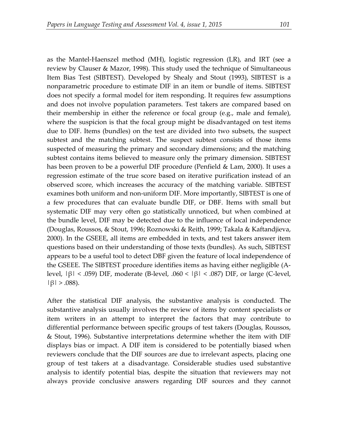as the Mantel-Haenszel method (MH), logistic regression (LR), and IRT (see a review by Clauser & Mazor, 1998). This study used the technique of Simultaneous Item Bias Test (SIBTEST). Developed by Shealy and Stout (1993), SIBTEST is a nonparametric procedure to estimate DIF in an item or bundle of items. SIBTEST does not specify a formal model for item responding. It requires few assumptions and does not involve population parameters. Test takers are compared based on their membership in either the reference or focal group (e.g., male and female), where the suspicion is that the focal group might be disadvantaged on test items due to DIF. Items (bundles) on the test are divided into two subsets, the suspect subtest and the matching subtest. The suspect subtest consists of those items suspected of measuring the primary and secondary dimensions; and the matching subtest contains items believed to measure only the primary dimension. SIBTEST has been proven to be a powerful DIF procedure (Penfield & Lam, 2000). It uses a regression estimate of the true score based on iterative purification instead of an observed score, which increases the accuracy of the matching variable. SIBTEST examines both uniform and non-uniform DIF. More importantly, SIBTEST is one of a few procedures that can evaluate bundle DIF, or DBF. Items with small but systematic DIF may very often go statistically unnoticed, but when combined at the bundle level, DIF may be detected due to the influence of local independence (Douglas, Roussos, & Stout, 1996; Roznowski & Reith, 1999; Takala & Kaftandjieva, 2000). In the GSEEE, all items are embedded in texts, and test takers answer item questions based on their understanding of those texts (bundles). As such, SIBTEST appears to be a useful tool to detect DBF given the feature of local independence of the GSEEE. The SIBTEST procedure identifies items as having either negligible (Alevel, |β| < .059) DIF, moderate (B-level, .060 < |β| < .087) DIF, or large (C-level, |β| > .088).

After the statistical DIF analysis, the substantive analysis is conducted. The substantive analysis usually involves the review of items by content specialists or item writers in an attempt to interpret the factors that may contribute to differential performance between specific groups of test takers (Douglas, Roussos, & Stout, 1996). Substantive interpretations determine whether the item with DIF displays bias or impact. A DIF item is considered to be potentially biased when reviewers conclude that the DIF sources are due to irrelevant aspects, placing one group of test takers at a disadvantage. Considerable studies used substantive analysis to identify potential bias, despite the situation that reviewers may not always provide conclusive answers regarding DIF sources and they cannot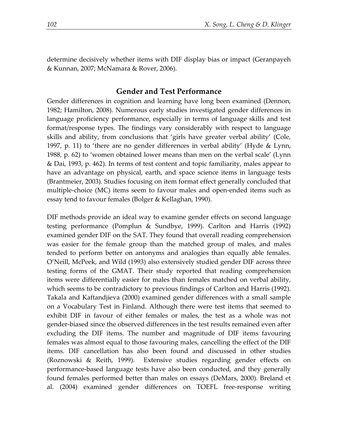determine decisively whether items with DIF display bias or impact (Geranpayeh & Kunnan, 2007; McNamara & Rover, 2006).

## **Gender and Test Performance**

Gender differences in cognition and learning have long been examined (Dennon, 1982; Hamilton, 2008). Numerous early studies investigated gender differences in language proficiency performance, especially in terms of language skills and test format/response types. The findings vary considerably with respect to language skills and ability, from conclusions that 'girls have greater verbal ability' (Cole, 1997, p. 11) to 'there are no gender differences in verbal ability' (Hyde & Lynn, 1988, p. 62) to 'women obtained lower means than men on the verbal scale' (Lynn & Dai, 1993, p. 462). In terms of test content and topic familiarity, males appear to have an advantage on physical, earth, and space science items in language tests (Brantmeier, 2003). Studies focusing on item format effect generally concluded that multiple-choice (MC) items seem to favour males and open-ended items such as essay tend to favour females (Bolger & Kellaghan, 1990).

DIF methods provide an ideal way to examine gender effects on second language testing performance (Pomplun & Sundbye, 1999). Carlton and Harris (1992) examined gender DIF on the SAT. They found that overall reading comprehension was easier for the female group than the matched group of males, and males tended to perform better on antonyms and analogies than equally able females. O'Neill, McPeek, and Wild (1993) also extensively studied gender DIF across three testing forms of the GMAT. Their study reported that reading comprehension items were differentially easier for males than females matched on verbal ability, which seems to be contradictory to previous findings of Carlton and Harris (1992). Takala and Kaftandjieva (2000) examined gender differences with a small sample on a Vocabulary Test in Finland. Although there were test items that seemed to exhibit DIF in favour of either females or males, the test as a whole was not gender-biased since the observed differences in the test results remained even after excluding the DIF items. The number and magnitude of DIF items favouring females was almost equal to those favouring males, cancelling the effect of the DIF items. DIF cancellation has also been found and discussed in other studies (Roznowski & Reith, 1999). Extensive studies regarding gender effects on performance-based language tests have also been conducted, and they generally found females performed better than males on essays (DeMars, 2000). Breland et al. (2004) examined gender differences on TOEFL free-response writing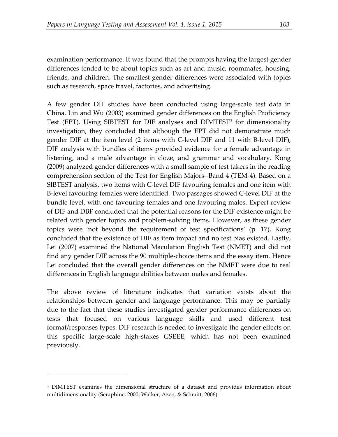examination performance. It was found that the prompts having the largest gender differences tended to be about topics such as art and music, roommates, housing, friends, and children. The smallest gender differences were associated with topics such as research, space travel, factories, and advertising.

A few gender DIF studies have been conducted using large-scale test data in China. Lin and Wu (2003) examined gender differences on the English Proficiency Test (EPT). Using SIBTEST for DIF analyses and DIMTEST<sup>[3](#page-6-0)</sup> for dimensionality investigation, they concluded that although the EPT did not demonstrate much gender DIF at the item level (2 items with C-level DIF and 11 with B-level DIF), DIF analysis with bundles of items provided evidence for a female advantage in listening, and a male advantage in cloze, and grammar and vocabulary. Kong (2009) analyzed gender differences with a small sample of test takers in the reading comprehension section of the Test for English Majors--Band 4 (TEM-4). Based on a SIBTEST analysis, two items with C-level DIF favouring females and one item with B-level favouring females were identified. Two passages showed C-level DIF at the bundle level, with one favouring females and one favouring males. Expert review of DIF and DBF concluded that the potential reasons for the DIF existence might be related with gender topics and problem-solving items. However, as these gender topics were 'not beyond the requirement of test specifications' (p. 17), Kong concluded that the existence of DIF as item impact and no test bias existed. Lastly, Lei (2007) examined the National Maculation English Test (NMET) and did not find any gender DIF across the 90 multiple-choice items and the essay item. Hence Lei concluded that the overall gender differences on the NMET were due to real differences in English language abilities between males and females.

The above review of literature indicates that variation exists about the relationships between gender and language performance. This may be partially due to the fact that these studies investigated gender performance differences on tests that focused on various language skills and used different test format/responses types. DIF research is needed to investigate the gender effects on this specific large-scale high-stakes GSEEE, which has not been examined previously.

<u>.</u>

<span id="page-6-0"></span><sup>3</sup> DIMTEST examines the dimensional structure of a dataset and provides information about multidimensionality (Seraphine, 2000; Walker, Azen, & Schmitt, 2006).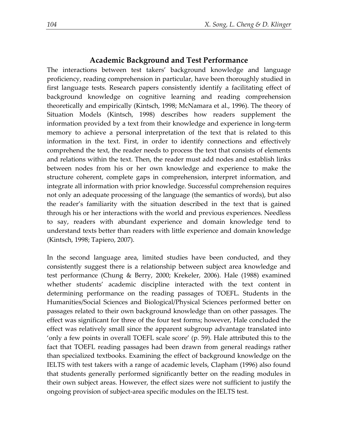## **Academic Background and Test Performance**

The interactions between test takers' background knowledge and language proficiency, reading comprehension in particular, have been thoroughly studied in first language tests. Research papers consistently identify a facilitating effect of background knowledge on cognitive learning and reading comprehension theoretically and empirically (Kintsch, 1998; McNamara et al., 1996). The theory of Situation Models (Kintsch, 1998) describes how readers supplement the information provided by a text from their knowledge and experience in long-term memory to achieve a personal interpretation of the text that is related to this information in the text. First, in order to identify connections and effectively comprehend the text, the reader needs to process the text that consists of elements and relations within the text. Then, the reader must add nodes and establish links between nodes from his or her own knowledge and experience to make the structure coherent, complete gaps in comprehension, interpret information, and integrate all information with prior knowledge. Successful comprehension requires not only an adequate processing of the language (the semantics of words), but also the reader's familiarity with the situation described in the text that is gained through his or her interactions with the world and previous experiences. Needless to say, readers with abundant experience and domain knowledge tend to understand texts better than readers with little experience and domain knowledge (Kintsch, 1998; Tapiero, 2007).

In the second language area, limited studies have been conducted, and they consistently suggest there is a relationship between subject area knowledge and test performance (Chung & Berry, 2000; Krekeler, 2006). Hale (1988) examined whether students' academic discipline interacted with the text content in determining performance on the reading passages of TOEFL. Students in the Humanities/Social Sciences and Biological/Physical Sciences performed better on passages related to their own background knowledge than on other passages. The effect was significant for three of the four test forms; however, Hale concluded the effect was relatively small since the apparent subgroup advantage translated into 'only a few points in overall TOEFL scale score' (p. 59). Hale attributed this to the fact that TOEFL reading passages had been drawn from general readings rather than specialized textbooks. Examining the effect of background knowledge on the IELTS with test takers with a range of academic levels, Clapham (1996) also found that students generally performed significantly better on the reading modules in their own subject areas. However, the effect sizes were not sufficient to justify the ongoing provision of subject-area specific modules on the IELTS test.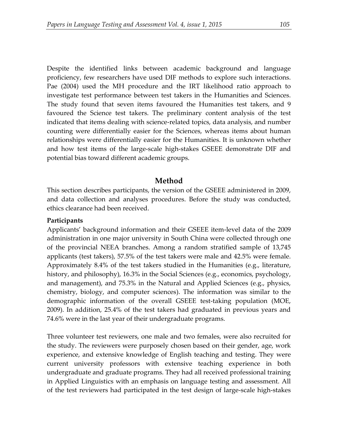Despite the identified links between academic background and language proficiency, few researchers have used DIF methods to explore such interactions. Pae (2004) used the MH procedure and the IRT likelihood ratio approach to investigate test performance between test takers in the Humanities and Sciences. The study found that seven items favoured the Humanities test takers, and 9 favoured the Science test takers. The preliminary content analysis of the test indicated that items dealing with science-related topics, data analysis, and number counting were differentially easier for the Sciences, whereas items about human relationships were differentially easier for the Humanities. It is unknown whether and how test items of the large-scale high-stakes GSEEE demonstrate DIF and potential bias toward different academic groups.

## **Method**

This section describes participants, the version of the GSEEE administered in 2009, and data collection and analyses procedures. Before the study was conducted, ethics clearance had been received.

#### **Participants**

Applicants' background information and their GSEEE item-level data of the 2009 administration in one major university in South China were collected through one of the provincial NEEA branches. Among a random stratified sample of 13,745 applicants (test takers), 57.5% of the test takers were male and 42.5% were female. Approximately 8.4% of the test takers studied in the Humanities (e.g., literature, history, and philosophy), 16.3% in the Social Sciences (e.g., economics, psychology, and management), and 75.3% in the Natural and Applied Sciences (e.g., physics, chemistry, biology, and computer sciences). The information was similar to the demographic information of the overall GSEEE test-taking population (MOE, 2009). In addition, 25.4% of the test takers had graduated in previous years and 74.6% were in the last year of their undergraduate programs.

Three volunteer test reviewers, one male and two females, were also recruited for the study. The reviewers were purposely chosen based on their gender, age, work experience, and extensive knowledge of English teaching and testing. They were current university professors with extensive teaching experience in both undergraduate and graduate programs. They had all received professional training in Applied Linguistics with an emphasis on language testing and assessment. All of the test reviewers had participated in the test design of large-scale high-stakes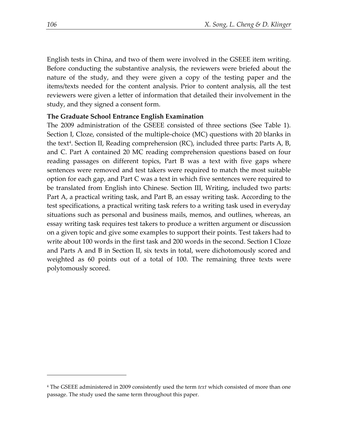English tests in China, and two of them were involved in the GSEEE item writing. Before conducting the substantive analysis, the reviewers were briefed about the nature of the study, and they were given a copy of the testing paper and the items/texts needed for the content analysis. Prior to content analysis, all the test reviewers were given a letter of information that detailed their involvement in the study, and they signed a consent form.

## **The Graduate School Entrance English Examination**

The 2009 administration of the GSEEE consisted of three sections (See Table 1). Section I, Cloze, consisted of the multiple-choice (MC) questions with 20 blanks in the text<sup>[4](#page-9-0)</sup>. Section II, Reading comprehension (RC), included three parts: Parts  $A$ ,  $B$ , and C. Part A contained 20 MC reading comprehension questions based on four reading passages on different topics, Part B was a text with five gaps where sentences were removed and test takers were required to match the most suitable option for each gap, and Part C was a text in which five sentences were required to be translated from English into Chinese. Section III, Writing, included two parts: Part A, a practical writing task, and Part B, an essay writing task. According to the test specifications, a practical writing task refers to a writing task used in everyday situations such as personal and business mails, memos, and outlines, whereas, an essay writing task requires test takers to produce a written argument or discussion on a given topic and give some examples to support their points. Test takers had to write about 100 words in the first task and 200 words in the second. Section I Cloze and Parts A and B in Section II, six texts in total, were dichotomously scored and weighted as 60 points out of a total of 100. The remaining three texts were polytomously scored.

<u>.</u>

<span id="page-9-0"></span><sup>4</sup> The GSEEE administered in 2009 consistently used the term *text* which consisted of more than one passage. The study used the same term throughout this paper.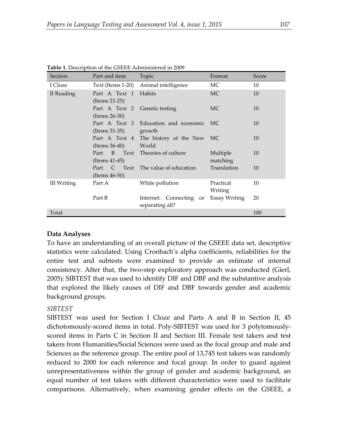| Section     | Part and item                         | Topic                                         | Format               | Score |
|-------------|---------------------------------------|-----------------------------------------------|----------------------|-------|
| I Cloze     | Text (Items 1-20)                     | Animal intelligence                           | МC                   | 10    |
| II Reading  | Part A Text 1<br>$($ Items 21-25 $)$  | Habits                                        | <b>MC</b>            | 10    |
|             | Part A Text 2<br>$($ Items 26-30 $)$  | Genetic testing                               | MC                   | 10    |
|             | Part A Text 3<br>$($ Items 31-35 $)$  | Education and economic MC<br>growth           |                      | 10    |
|             | Part A Text 4<br>$($ Items 36-40 $)$  | The history of the New<br>World               | MC.                  | 10    |
|             | Text<br>Part B<br>$($ Items 41-45 $)$ | Theories of culture                           | Multiple<br>matching | 10    |
|             | Part C Text<br>(Items $46-50$ )       | The value of education                        | Translation          | 10    |
| III Writing | Part A                                | White pollution                               | Practical<br>Writing | 10    |
|             | Part B                                | Internet: Connecting<br>or<br>separating all? | Essay Writing        | 20    |
| Total       |                                       |                                               |                      | 100   |

**Table 1.** Description of the GSEEE Administered in 2009

# **Data Analyses**

To have an understanding of an overall picture of the GSEEE data set, descriptive statistics were calculated. Using Cronbach's alpha coefficients, reliabilities for the entire test and subtests were examined to provide an estimate of internal consistency. After that, the two-step exploratory approach was conducted (Gierl, 2005): SIBTEST that was used to identify DIF and DBF and the substantive analysis that explored the likely causes of DIF and DBF towards gender and academic background groups.

# *SIBTEST*

SIBTEST was used for Section I Cloze and Parts A and B in Section II, 45 dichotomously-scored items in total. Poly-SIBTEST was used for 3 polytomouslyscored items in Parts C in Section II and Section III. Female test takers and test takers from Humanities/Social Sciences were used as the focal group and male and Sciences as the reference group. The entire pool of 13,745 test takers was randomly reduced to 2000 for each reference and focal group. In order to guard against unrepresentativeness within the group of gender and academic background, an equal number of test takers with different characteristics were used to facilitate comparisons. Alternatively, when examining gender effects on the GSEEE, a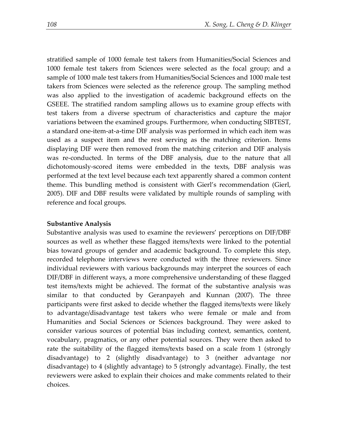stratified sample of 1000 female test takers from Humanities/Social Sciences and 1000 female test takers from Sciences were selected as the focal group; and a sample of 1000 male test takers from Humanities/Social Sciences and 1000 male test takers from Sciences were selected as the reference group. The sampling method was also applied to the investigation of academic background effects on the GSEEE. The stratified random sampling allows us to examine group effects with test takers from a diverse spectrum of characteristics and capture the major variations between the examined groups. Furthermore, when conducting SIBTEST, a standard one-item-at-a-time DIF analysis was performed in which each item was used as a suspect item and the rest serving as the matching criterion. Items displaying DIF were then removed from the matching criterion and DIF analysis was re-conducted. In terms of the DBF analysis, due to the nature that all dichotomously-scored items were embedded in the texts, DBF analysis was performed at the text level because each text apparently shared a common content theme. This bundling method is consistent with Gierl's recommendation (Gierl, 2005). DIF and DBF results were validated by multiple rounds of sampling with reference and focal groups.

#### **Substantive Analysis**

Substantive analysis was used to examine the reviewers' perceptions on DIF/DBF sources as well as whether these flagged items/texts were linked to the potential bias toward groups of gender and academic background. To complete this step, recorded telephone interviews were conducted with the three reviewers. Since individual reviewers with various backgrounds may interpret the sources of each DIF/DBF in different ways, a more comprehensive understanding of these flagged test items/texts might be achieved. The format of the substantive analysis was similar to that conducted by Geranpayeh and Kunnan (2007). The three participants were first asked to decide whether the flagged items/texts were likely to advantage/disadvantage test takers who were female or male and from Humanities and Social Sciences or Sciences background. They were asked to consider various sources of potential bias including context, semantics, content, vocabulary, pragmatics, or any other potential sources. They were then asked to rate the suitability of the flagged items/texts based on a scale from 1 (strongly disadvantage) to 2 (slightly disadvantage) to 3 (neither advantage nor disadvantage) to 4 (slightly advantage) to 5 (strongly advantage). Finally, the test reviewers were asked to explain their choices and make comments related to their choices.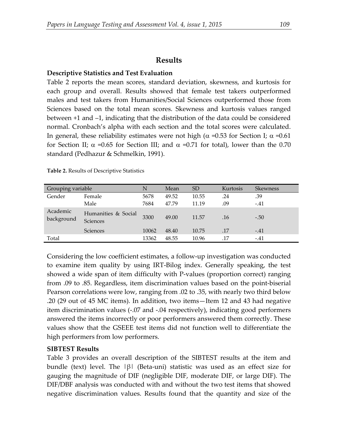## **Results**

#### **Descriptive Statistics and Test Evaluation**

Table 2 reports the mean scores, standard deviation, skewness, and kurtosis for each group and overall. Results showed that female test takers outperformed males and test takers from Humanities/Social Sciences outperformed those from Sciences based on the total mean scores. Skewness and kurtosis values ranged between +1 and –1, indicating that the distribution of the data could be considered normal. Cronbach's alpha with each section and the total scores were calculated. In general, these reliability estimates were not high ( $\alpha$  =0.53 for Section I;  $\alpha$  =0.61 for Section II;  $\alpha$  =0.65 for Section III; and  $\alpha$  =0.71 for total), lower than the 0.70 standard (Pedhazur & Schmelkin, 1991).

| Grouping variable      |                                 | N     | Mean  | <b>SD</b> | Kurtosis | <b>Skewness</b> |
|------------------------|---------------------------------|-------|-------|-----------|----------|-----------------|
| Gender                 | Female                          | 5678  | 49.52 | 10.55     | .24      | .39             |
|                        | Male                            | 7684  | 47.79 | 11.19     | .09      | $-.41$          |
| Academic<br>background | Humanities & Social<br>Sciences | 3300  | 49.00 | 11.57     | .16      | $-.50$          |
|                        | <b>Sciences</b>                 | 10062 | 48.40 | 10.75     | .17      | $-.41$          |
| Total                  |                                 | 13362 | 48.55 | 10.96     | .17      | $-.41$          |

**Table 2.** Results of Descriptive Statistics

Considering the low coefficient estimates, a follow-up investigation was conducted to examine item quality by using IRT-Bilog index. Generally speaking, the test showed a wide span of item difficulty with P-values (proportion correct) ranging from .09 to .85. Regardless, item discrimination values based on the point-biserial Pearson correlations were low, ranging from .02 to .35, with nearly two third below .20 (29 out of 45 MC items). In addition, two items—Item 12 and 43 had negative item discrimination values (-.07 and -.04 respectively), indicating good performers answered the items incorrectly or poor performers answered them correctly. These values show that the GSEEE test items did not function well to differentiate the high performers from low performers.

## **SIBTEST Results**

Table 3 provides an overall description of the SIBTEST results at the item and bundle (text) level. The  $\beta$ | (Beta-uni) statistic was used as an effect size for gauging the magnitude of DIF (negligible DIF, moderate DIF, or large DIF). The DIF/DBF analysis was conducted with and without the two test items that showed negative discrimination values. Results found that the quantity and size of the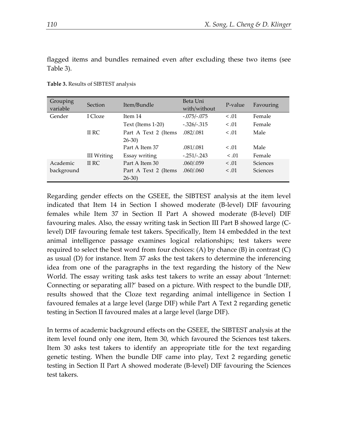flagged items and bundles remained even after excluding these two items (see Table 3).

| Grouping<br>variable | Section            | Item/Bundle          | Beta Uni<br>with/without | P-value | Favouring       |
|----------------------|--------------------|----------------------|--------------------------|---------|-----------------|
| Gender               | I Cloze            | Item 14              | $-.075/-.075$            | < 0.01  | Female          |
|                      |                    | Text (Items 1-20)    | $-.326/-.315$            | < 0.01  | Female          |
|                      | II RC              | Part A Text 2 (Items | .082/.081                | < .01   | Male            |
|                      |                    | $26-30$              |                          |         |                 |
|                      |                    | Part A Item 37       | .081/.081                | < .01   | Male            |
|                      | <b>III</b> Writing | Essay writing        | $-.251/-.243$            | < 0.01  | Female          |
| Academic             | II RC              | Part A Item 30       | .060/059                 | < 0.01  | Sciences        |
| background           |                    | Part A Text 2 (Items | .060/.060                | < 0.01  | <b>Sciences</b> |
|                      |                    | $26-30$              |                          |         |                 |

**Table 3.** Results of SIBTEST analysis

Regarding gender effects on the GSEEE, the SIBTEST analysis at the item level indicated that Item 14 in Section I showed moderate (B-level) DIF favouring females while Item 37 in Section II Part A showed moderate (B-level) DIF favouring males. Also, the essay writing task in Section III Part B showed large (Clevel) DIF favouring female test takers. Specifically, Item 14 embedded in the text animal intelligence passage examines logical relationships; test takers were required to select the best word from four choices: (A) by chance (B) in contrast (C) as usual (D) for instance. Item 37 asks the test takers to determine the inferencing idea from one of the paragraphs in the text regarding the history of the New World. The essay writing task asks test takers to write an essay about 'Internet: Connecting or separating all?' based on a picture. With respect to the bundle DIF, results showed that the Cloze text regarding animal intelligence in Section I favoured females at a large level (large DIF) while Part A Text 2 regarding genetic testing in Section II favoured males at a large level (large DIF).

In terms of academic background effects on the GSEEE, the SIBTEST analysis at the item level found only one item, Item 30, which favoured the Sciences test takers. Item 30 asks test takers to identify an appropriate title for the text regarding genetic testing. When the bundle DIF came into play, Text 2 regarding genetic testing in Section II Part A showed moderate (B-level) DIF favouring the Sciences test takers.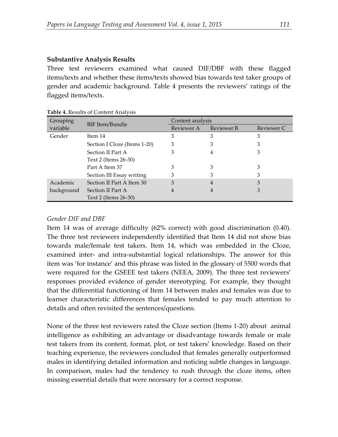## **Substantive Analysis Results**

Three test reviewers examined what caused DIF/DBF with these flagged items/texts and whether these items/texts showed bias towards test taker groups of gender and academic background. Table 4 presents the reviewers' ratings of the flagged items/texts.

| Grouping   |                              | Content analysis |            |            |  |
|------------|------------------------------|------------------|------------|------------|--|
| variable   | BIF Item/Bundle              | Reviewer A       | Reviewer B | Reviewer C |  |
| Gender     | Item 14                      | 3                | З          | З          |  |
|            | Section I Cloze (Items 1-20) | 3                | З          | З          |  |
|            | Section II Part A            | З                |            | З          |  |
|            | Text 2 (Items 26-30)         |                  |            |            |  |
|            | Part A Item 37               |                  |            | З          |  |
|            | Section III Essay writing    | З                |            |            |  |
| Academic   | Section II Part A Item 30    | З                | 4          | З          |  |
| background | Section II Part A            | 4                |            | З          |  |
|            | Text 2 (Items 26-30)         |                  |            |            |  |

**Table 4.** Results of Content Analysis

## *Gender DIF and DBF*

Item 14 was of average difficulty (62% correct) with good discrimination (0.40). The three test reviewers independently identified that Item 14 did not show bias towards male/female test takers. Item 14, which was embedded in the Cloze, examined inter- and intra-substantial logical relationships. The answer for this item was 'for instance' and this phrase was listed in the glossary of 5500 words that were required for the GSEEE test takers (NEEA, 2009). The three test reviewers' responses provided evidence of gender stereotyping. For example, they thought that the differential functioning of Item 14 between males and females was due to learner characteristic differences that females tended to pay much attention to details and often revisited the sentences/questions.

None of the three test reviewers rated the Cloze section (Items 1-20) about animal intelligence as exhibiting an advantage or disadvantage towards female or male test takers from its content, format, plot, or test takers' knowledge. Based on their teaching experience, the reviewers concluded that females generally outperformed males in identifying detailed information and noticing subtle changes in language. In comparison, males had the tendency to rush through the cloze items, often missing essential details that were necessary for a correct response.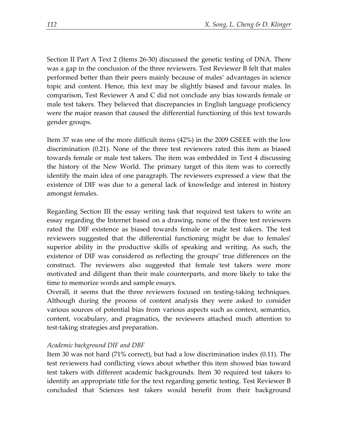Section II Part A Text 2 (Items 26-30) discussed the genetic testing of DNA. There was a gap in the conclusion of the three reviewers. Test Reviewer B felt that males performed better than their peers mainly because of males' advantages in science topic and content. Hence, this text may be slightly biased and favour males. In comparison, Test Reviewer A and C did not conclude any bias towards female or male test takers. They believed that discrepancies in English language proficiency were the major reason that caused the differential functioning of this text towards gender groups.

Item 37 was one of the more difficult items (42%) in the 2009 GSEEE with the low discrimination (0.21). None of the three test reviewers rated this item as biased towards female or male test takers. The item was embedded in Text 4 discussing the history of the New World. The primary target of this item was to correctly identify the main idea of one paragraph. The reviewers expressed a view that the existence of DIF was due to a general lack of knowledge and interest in history amongst females.

Regarding Section III the essay writing task that required test takers to write an essay regarding the Internet based on a drawing, none of the three test reviewers rated the DIF existence as biased towards female or male test takers. The test reviewers suggested that the differential functioning might be due to females' superior ability in the productive skills of speaking and writing. As such, the existence of DIF was considered as reflecting the groups' true differences on the construct. The reviewers also suggested that female test takers were more motivated and diligent than their male counterparts, and more likely to take the time to memorize words and sample essays.

Overall, it seems that the three reviewers focused on testing-taking techniques. Although during the process of content analysis they were asked to consider various sources of potential bias from various aspects such as context, semantics, content, vocabulary, and pragmatics, the reviewers attached much attention to test-taking strategies and preparation.

## *Academic background DIF and DBF*

Item 30 was not hard (71% correct), but had a low discrimination index (0.11). The test reviewers had conflicting views about whether this item showed bias toward test takers with different academic backgrounds. Item 30 required test takers to identify an appropriate title for the text regarding genetic testing. Test Reviewer B concluded that Sciences test takers would benefit from their background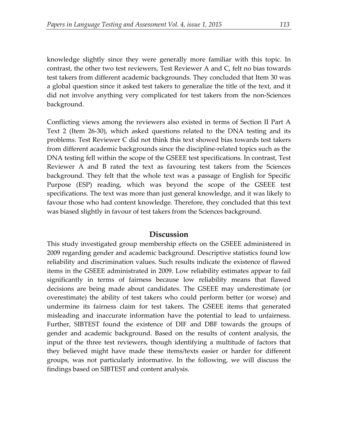knowledge slightly since they were generally more familiar with this topic. In contrast, the other two test reviewers, Test Reviewer A and C, felt no bias towards test takers from different academic backgrounds. They concluded that Item 30 was a global question since it asked test takers to generalize the title of the text, and it did not involve anything very complicated for test takers from the non-Sciences background.

Conflicting views among the reviewers also existed in terms of Section II Part A Text 2 (Item 26-30), which asked questions related to the DNA testing and its problems. Test Reviewer C did not think this text showed bias towards test takers from different academic backgrounds since the discipline-related topics such as the DNA testing fell within the scope of the GSEEE test specifications. In contrast, Test Reviewer A and B rated the text as favouring test takers from the Sciences background. They felt that the whole text was a passage of English for Specific Purpose (ESP) reading, which was beyond the scope of the GSEEE test specifications. The text was more than just general knowledge, and it was likely to favour those who had content knowledge. Therefore, they concluded that this text was biased slightly in favour of test takers from the Sciences background.

## **Discussion**

This study investigated group membership effects on the GSEEE administered in 2009 regarding gender and academic background. Descriptive statistics found low reliability and discrimination values. Such results indicate the existence of flawed items in the GSEEE administrated in 2009. Low reliability estimates appear to fail significantly in terms of fairness because low reliability means that flawed decisions are being made about candidates. The GSEEE may underestimate (or overestimate) the ability of test takers who could perform better (or worse) and undermine its fairness claim for test takers. The GSEEE items that generated misleading and inaccurate information have the potential to lead to unfairness. Further, SIBTEST found the existence of DIF and DBF towards the groups of gender and academic background. Based on the results of content analysis, the input of the three test reviewers, though identifying a multitude of factors that they believed might have made these items/texts easier or harder for different groups, was not particularly informative. In the following, we will discuss the findings based on SIBTEST and content analysis.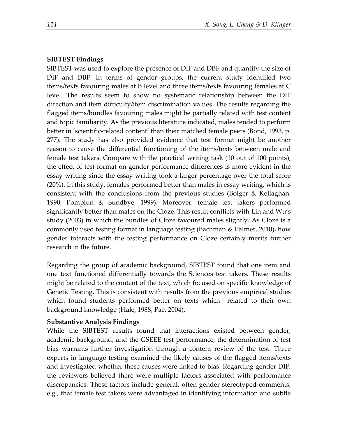## **SIBTEST Findings**

SIBTEST was used to explore the presence of DIF and DBF and quantify the size of DIF and DBF. In terms of gender groups, the current study identified two items/texts favouring males at B level and three items/texts favouring females at C level. The results seem to show no systematic relationship between the DIF direction and item difficulty/item discrimination values. The results regarding the flagged items/bundles favouring males might be partially related with test content and topic familiarity. As the previous literature indicated, males tended to perform better in 'scientific-related content' than their matched female peers (Bond, 1993, p. 277). The study has also provided evidence that test format might be another reason to cause the differential functioning of the items/texts between male and female test takers. Compare with the practical writing task (10 out of 100 points), the effect of test format on gender performance differences is more evident in the essay writing since the essay writing took a larger percentage over the total score (20%). In this study, females performed better than males in essay writing, which is consistent with the conclusions from the previous studies (Bolger & Kellaghan, 1990; Pomplun & Sundbye, 1999). Moreover, female test takers performed significantly better than males on the Cloze. This result conflicts with Lin and Wu's study (2003) in which the bundles of Cloze favoured males slightly. As Cloze is a commonly used testing format in language testing (Bachman & Palmer, 2010), how gender interacts with the testing performance on Cloze certainly merits further research in the future.

Regarding the group of academic background, SIBTEST found that one item and one text functioned differentially towards the Sciences test takers. These results might be related to the content of the text, which focused on specific knowledge of Genetic Testing. This is consistent with results from the previous empirical studies which found students performed better on texts which related to their own background knowledge (Hale, 1988; Pae, 2004).

## **Substantive Analysis Findings**

While the SIBTEST results found that interactions existed between gender, academic background, and the GSEEE test performance, the determination of test bias warrants further investigation through a content review of the test. Three experts in language testing examined the likely causes of the flagged items/texts and investigated whether these causes were linked to bias. Regarding gender DIF, the reviewers believed there were multiple factors associated with performance discrepancies. These factors include general, often gender stereotyped comments, e.g., that female test takers were advantaged in identifying information and subtle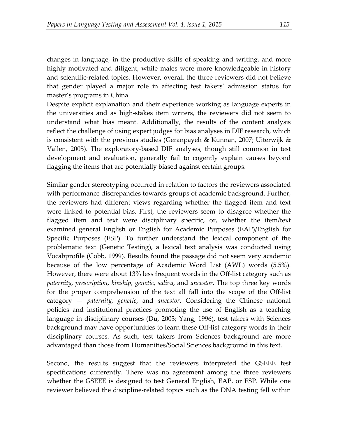changes in language, in the productive skills of speaking and writing, and more highly motivated and diligent, while males were more knowledgeable in history and scientific-related topics. However, overall the three reviewers did not believe that gender played a major role in affecting test takers' admission status for master's programs in China.

Despite explicit explanation and their experience working as language experts in the universities and as high-stakes item writers, the reviewers did not seem to understand what bias meant. Additionally, the results of the content analysis reflect the challenge of using expert judges for bias analyses in DIF research, which is consistent with the previous studies (Geranpayeh & Kunnan, 2007; Uiterwijk  $\&$ Vallen, 2005). The exploratory-based DIF analyses, though still common in test development and evaluation, generally fail to cogently explain causes beyond flagging the items that are potentially biased against certain groups.

Similar gender stereotyping occurred in relation to factors the reviewers associated with performance discrepancies towards groups of academic background. Further, the reviewers had different views regarding whether the flagged item and text were linked to potential bias. First, the reviewers seem to disagree whether the flagged item and text were disciplinary specific, or, whether the item/text examined general English or English for Academic Purposes (EAP)/English for Specific Purposes (ESP). To further understand the lexical component of the problematic text (Genetic Testing), a lexical text analysis was conducted using Vocabprofile (Cobb, 1999). Results found the passage did not seem very academic because of the low percentage of Academic Word List (AWL) words (5.5%). However, there were about 13% less frequent words in the Off-list category such as *paternity, prescription, kinship, genetic, saliva*, and *ancestor*. The top three key words for the proper comprehension of the text all fall into the scope of the Off-list category — *paternity, genetic*, and *ancestor*. Considering the Chinese national policies and institutional practices promoting the use of English as a teaching language in disciplinary courses (Du, 2003; Yang, 1996), test takers with Sciences background may have opportunities to learn these Off-list category words in their disciplinary courses. As such, test takers from Sciences background are more advantaged than those from Humanities/Social Sciences background in this text.

Second, the results suggest that the reviewers interpreted the GSEEE test specifications differently. There was no agreement among the three reviewers whether the GSEEE is designed to test General English, EAP, or ESP. While one reviewer believed the discipline-related topics such as the DNA testing fell within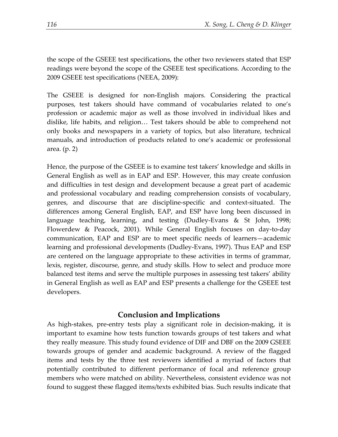the scope of the GSEEE test specifications, the other two reviewers stated that ESP readings were beyond the scope of the GSEEE test specifications. According to the 2009 GSEEE test specifications (NEEA, 2009):

The GSEEE is designed for non-English majors. Considering the practical purposes, test takers should have command of vocabularies related to one's profession or academic major as well as those involved in individual likes and dislike, life habits, and religion… Test takers should be able to comprehend not only books and newspapers in a variety of topics, but also literature, technical manuals, and introduction of products related to one's academic or professional area. (p. 2)

Hence, the purpose of the GSEEE is to examine test takers' knowledge and skills in General English as well as in EAP and ESP. However, this may create confusion and difficulties in test design and development because a great part of academic and professional vocabulary and reading comprehension consists of vocabulary, genres, and discourse that are discipline-specific and context-situated. The differences among General English, EAP, and ESP have long been discussed in language teaching, learning, and testing (Dudley-Evans & St John, 1998; Flowerdew & Peacock, 2001). While General English focuses on day-to-day communication, EAP and ESP are to meet specific needs of learners—academic learning and professional developments (Dudley-Evans, 1997). Thus EAP and ESP are centered on the language appropriate to these activities in terms of grammar, lexis, register, discourse, genre, and study skills. How to select and produce more balanced test items and serve the multiple purposes in assessing test takers' ability in General English as well as EAP and ESP presents a challenge for the GSEEE test developers.

# **Conclusion and Implications**

As high-stakes, pre-entry tests play a significant role in decision-making, it is important to examine how tests function towards groups of test takers and what they really measure. This study found evidence of DIF and DBF on the 2009 GSEEE towards groups of gender and academic background. A review of the flagged items and tests by the three test reviewers identified a myriad of factors that potentially contributed to different performance of focal and reference group members who were matched on ability. Nevertheless, consistent evidence was not found to suggest these flagged items/texts exhibited bias. Such results indicate that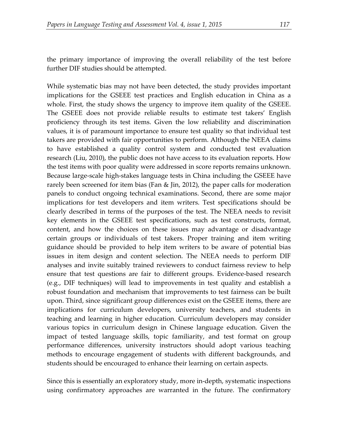the primary importance of improving the overall reliability of the test before further DIF studies should be attempted.

While systematic bias may not have been detected, the study provides important implications for the GSEEE test practices and English education in China as a whole. First, the study shows the urgency to improve item quality of the GSEEE. The GSEEE does not provide reliable results to estimate test takers' English proficiency through its test items. Given the low reliability and discrimination values, it is of paramount importance to ensure test quality so that individual test takers are provided with fair opportunities to perform. Although the NEEA claims to have established a quality control system and conducted test evaluation research (Liu, 2010), the public does not have access to its evaluation reports. How the test items with poor quality were addressed in score reports remains unknown. Because large-scale high-stakes language tests in China including the GSEEE have rarely been screened for item bias (Fan & Jin, 2012), the paper calls for moderation panels to conduct ongoing technical examinations. Second, there are some major implications for test developers and item writers. Test specifications should be clearly described in terms of the purposes of the test. The NEEA needs to revisit key elements in the GSEEE test specifications, such as test constructs, format, content, and how the choices on these issues may advantage or disadvantage certain groups or individuals of test takers. Proper training and item writing guidance should be provided to help item writers to be aware of potential bias issues in item design and content selection. The NEEA needs to perform DIF analyses and invite suitably trained reviewers to conduct fairness review to help ensure that test questions are fair to different groups. Evidence-based research (e.g., DIF techniques) will lead to improvements in test quality and establish a robust foundation and mechanism that improvements to test fairness can be built upon. Third, since significant group differences exist on the GSEEE items, there are implications for curriculum developers, university teachers, and students in teaching and learning in higher education. Curriculum developers may consider various topics in curriculum design in Chinese language education. Given the impact of tested language skills, topic familiarity, and test format on group performance differences, university instructors should adopt various teaching methods to encourage engagement of students with different backgrounds, and students should be encouraged to enhance their learning on certain aspects.

Since this is essentially an exploratory study, more in-depth, systematic inspections using confirmatory approaches are warranted in the future. The confirmatory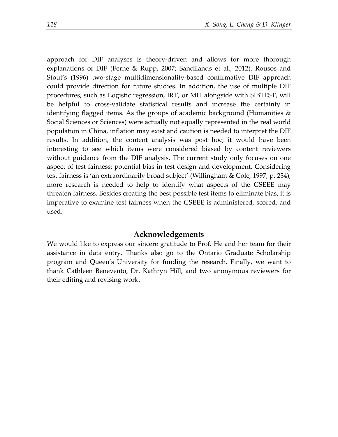approach for DIF analyses is theory-driven and allows for more thorough explanations of DIF (Ferne & Rupp, 2007; Sandilands et al., 2012). Rousos and Stout's (1996) two-stage multidimensionality-based confirmative DIF approach could provide direction for future studies. In addition, the use of multiple DIF procedures, such as Logistic regression, IRT, or MH alongside with SIBTEST, will be helpful to cross-validate statistical results and increase the certainty in identifying flagged items. As the groups of academic background (Humanities & Social Sciences or Sciences) were actually not equally represented in the real world population in China, inflation may exist and caution is needed to interpret the DIF results. In addition, the content analysis was post hoc; it would have been interesting to see which items were considered biased by content reviewers without guidance from the DIF analysis. The current study only focuses on one aspect of test fairness: potential bias in test design and development. Considering test fairness is 'an extraordinarily broad subject' (Willingham & Cole, 1997, p. 234), more research is needed to help to identify what aspects of the GSEEE may threaten fairness. Besides creating the best possible test items to eliminate bias, it is imperative to examine test fairness when the GSEEE is administered, scored, and used.

#### **Acknowledgements**

We would like to express our sincere gratitude to Prof. He and her team for their assistance in data entry. Thanks also go to the Ontario Graduate Scholarship program and Queen's University for funding the research. Finally, we want to thank Cathleen Benevento, Dr. Kathryn Hill, and two anonymous reviewers for their editing and revising work.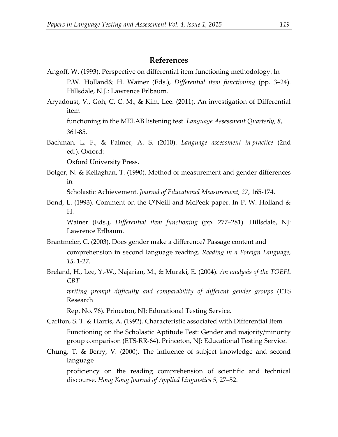## **References**

- Angoff, W. (1993). Perspective on differential item functioning methodology. In P.W. Holland& H. Wainer (Eds.), *Differential item functioning* (pp. 3–24). Hillsdale, N.J.: Lawrence Erlbaum.
- Aryadoust, V., Goh, C. C. M., & Kim, Lee. (2011). An investigation of Differential item functioning in the MELAB listening test. *Language Assessment Quarterly, 8*,

361-85.

Bachman, L. F., & Palmer, A. S. (2010). *Language assessment in practice* (2nd ed.). Oxford:

Oxford University Press.

Bolger, N. & Kellaghan, T. (1990). Method of measurement and gender differences in

Scholastic Achievement. *Journal of Educational Measurement, 27*, 165-174.

Bond, L. (1993). Comment on the O'Neill and McPeek paper. In P. W. Holland & H.

Wainer (Eds.), *Differential item functioning* (pp. 277–281). Hillsdale, NJ: Lawrence Erlbaum.

- Brantmeier, C. (2003). Does gender make a difference? Passage content and comprehension in second language reading. *Reading in a Foreign Language, 15,* 1-27.
- Breland, H., Lee, Y.-W., Najarian, M., & Muraki, E. (2004). *An analysis of the TOEFL CBT*

*writing prompt difficulty and comparability of different gender groups* (ETS Research

Rep. No. 76). Princeton, NJ: Educational Testing Service.

- Carlton, S. T. & Harris, A. (1992). Characteristic associated with Differential Item Functioning on the Scholastic Aptitude Test: Gender and majority/minority group comparison (ETS-RR-64). Princeton, NJ: Educational Testing Service.
- Chung, T. & Berry, V. (2000). The influence of subject knowledge and second language

proficiency on the reading comprehension of scientific and technical discourse. *Hong Kong Journal of Applied Linguistics 5,* 27–52.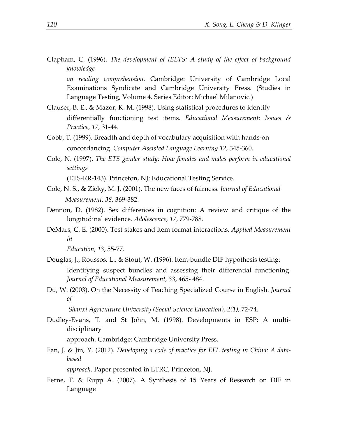Clapham, C. (1996). *The development of IELTS: A study of the effect of background knowledge* 

*on reading comprehension.* Cambridge: University of Cambridge Local Examinations Syndicate and Cambridge University Press. (Studies in Language Testing, Volume 4. Series Editor: Michael Milanovic.)

- Clauser, B. E., & Mazor, K. M. (1998). Using statistical procedures to identify differentially functioning test items. *Educational Measurement: Issues & Practice, 17,* 31-44.
- Cobb, T. (1999). Breadth and depth of vocabulary acquisition with hands-on concordancing. *Computer Assisted Language Learning 12,* 345-360.
- Cole, N. (1997). *The ETS gender study: How females and males perform in educational settings* (ETS-RR-143). Princeton, NJ: Educational Testing Service.
- Cole, N. S., & Zieky, M. J. (2001). The new faces of fairness. *Journal of Educational*
- *Measurement, 38*, 369-382. Dennon, D. (1982). Sex differences in cognition: A review and critique of the longitudinal evidence. *Adolescence, 17*, 779-788.
- DeMars, C. E. (2000). Test stakes and item format interactions. *Applied Measurement in*

*Education, 13*, 55-77.

- Douglas, J., Roussos, L., & Stout, W. (1996). Item-bundle DIF hypothesis testing: Identifying suspect bundles and assessing their differential functioning. *Journal of Educational Measurement, 33*, 465- 484.
- Du, W. (2003). On the Necessity of Teaching Specialized Course in English. *Journal of*

*Shanxi Agriculture University (Social Science Education), 2(1)*, 72-74.

Dudley-Evans, T. and St John, M. (1998). Developments in ESP: A multidisciplinary

approach. Cambridge: Cambridge University Press.

Fan, J. & Jin, Y. (2012). *Developing a code of practice for EFL testing in China: A databased* 

*approach*. Paper presented in LTRC, Princeton, NJ.

Ferne, T. & Rupp A. (2007). A Synthesis of 15 Years of Research on DIF in Language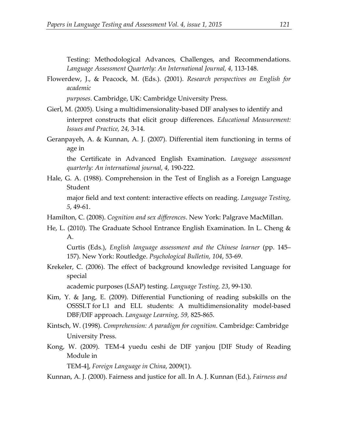Testing: Methodological Advances, Challenges, and Recommendations. *Language Assessment Quarterly: An International Journal, 4,* 113-148.

Flowerdew, J., & Peacock, M. (Eds.). (2001). *Research perspectives on English for academic*

 *purposes*. Cambridge, UK: Cambridge University Press.

- Gierl, M. (2005). Using a multidimensionality-based DIF analyses to identify and interpret constructs that elicit group differences. *Educational Measurement: Issues and Practice, 24,* 3-14.
- Geranpayeh, A. & Kunnan, A. J. (2007). Differential item functioning in terms of age in

the Certificate in Advanced English Examination. *Language assessment quarterly: An international journal, 4,* 190-222.

- Hale, G. A. (1988). Comprehension in the Test of English as a Foreign Language Student major field and text content: interactive effects on reading. *Language Testing, 5*, 49-61.
- Hamilton, C. (2008). *Cognition and sex differences*. New York: Palgrave MacMillan.
- He, L. (2010). The Graduate School Entrance English Examination. In L. Cheng & A.

Curtis (Eds.), *English language assessment and the Chinese learner* (pp. 145– 157). New York: Routledge. *Psychological Bulletin, 104*, 53-69.

Krekeler, C. (2006). The effect of background knowledge revisited Language for special

academic purposes (LSAP) testing. *Language Testing, 23*, 99-130.

- Kim, Y. & Jang, E. (2009). Differential Functioning of reading subskills on the OSSSLT for L1 and ELL students: A multidimensionality model-based DBF/DIF approach. *Language Learning, 59,* 825-865.
- Kintsch, W. (1998). *Comprehension: A paradigm for cognition.* Cambridge: Cambridge University Press.
- Kong, W. (2009). TEM-4 yuedu ceshi de DIF yanjou [DIF Study of Reading Module in

TEM-4], *Foreign Language in China*, 2009(1).

Kunnan, A. J. (2000). Fairness and justice for all. In A. J. Kunnan (Ed.), *Fairness and*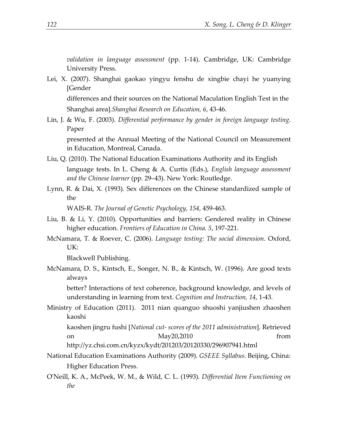*validation in language assessment* (pp. 1-14). Cambridge, UK: Cambridge University Press.

Lei, X. (2007). Shanghai gaokao yingyu fenshu de xingbie chayi he yuanying [Gender differences and their sources on the National Maculation English Test in the

Shanghai area].*Shanghai Research on Education, 6*, 43-46.

Lin, J. & Wu, F. (2003). *Differential performance by gender in foreign language testing*. Paper

presented at the Annual Meeting of the National Council on Measurement in Education, Montreal, Canada.

- Liu, Q. (2010). The National Education Examinations Authority and its English language tests. In L. Cheng & A. Curtis (Eds.), *English language assessment and the Chinese learner* (pp. 29–43). New York: Routledge.
- Lynn, R. & Dai, X. (1993). Sex differences on the Chinese standardized sample of the

WAIS-R. *The Journal of Genetic Psychology, 154*, 459-463.

- Liu, B. & Li, Y. (2010). Opportunities and barriers: Gendered reality in Chinese higher education. *Frontiers of Education in China. 5*, 197-221.
- McNamara, T. & Roever, C. (2006). *Language testing: The social dimension.* Oxford, UK:

Blackwell Publishing.

McNamara, D. S., Kintsch, E., Songer, N. B., & Kintsch, W. (1996). Are good texts always

better? Interactions of text coherence, background knowledge, and levels of understanding in learning from text. *Cognition and Instruction, 14*, 1-43.

Ministry of Education (2011). 2011 nian quanguo shuoshi yanjiushen zhaoshen kaoshi

kaoshen jingru fushi [*National cut- scores of the 2011 administration*]. Retrieved on May20,2010 from from

http://yz.chsi.com.cn/kyzx/kydt/201203/20120330/296907941.html

- National Education Examinations Authority (2009). *GSEEE Syllabus.* Beijing, China: Higher Education Press.
- O'Neill, K. A., McPeek, W. M., & Wild, C. L. (1993). *Differential Item Functioning on the*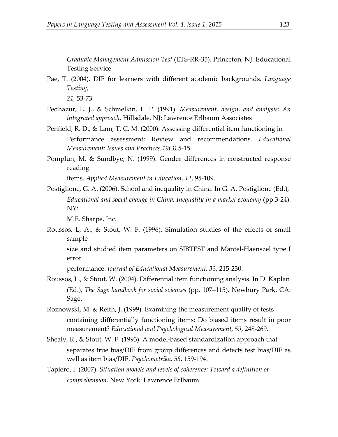*Graduate Management Admission Test* (ETS-RR-35). Princeton, NJ: Educational Testing Service.

Pae, T. (2004). DIF for learners with different academic backgrounds. *Language Testing,* 

*21,* 53-73.

- Pedhazur, E. J., & Schmelkin, L. P. (1991). *Measurement, design, and analysis: An integrated approach*. Hillsdale, NJ: Lawrence Erlbaum Associates
- Penfield, R. D., & Lam, T. C. M. (2000). Assessing differential item functioning in Performance assessment: Review and recommendations. *Educational Measurement: Issues and Practices,19(3),*5-15.
- Pomplun, M. & Sundbye, N. (1999). Gender differences in constructed response reading

items. *Applied Measurement in Education, 12*, 95-109.

Postiglione, G. A. (2006). School and inequality in China. In G. A. Postiglione (Ed.), *Educational and social change in China: Inequality in a market economy* (pp.3-24). NY:

M.E. Sharpe, Inc.

Roussos, L, A., & Stout, W. F. (1996). Simulation studies of the effects of small sample

size and studied item parameters on SIBTEST and Mantel-Haenszel type I error

performance. *Journal of Educational Measurement, 33*, 215-230.

- Roussos, L., & Stout, W. (2004). Differential item functioning analysis. In D. Kaplan (Ed.), *The Sage handbook for social sciences* (pp. 107–115). Newbury Park, CA: Sage.
- Roznowski, M. & Reith, J. (1999). Examining the measurement quality of tests containing differentially functioning items: Do biased items result in poor measurement? *Educational and Psychological Measurement, 59*, 248-269.
- Shealy, R., & Stout, W. F. (1993). A model-based standardization approach that separates true bias/DIF from group differences and detects test bias/DIF as well as item bias/DIF. *Psychometrika, 58*, 159-194.
- Tapiero, I. (2007). *Situation models and levels of coherence: Toward a definition of comprehension.* New York: Lawrence Erlbaum.